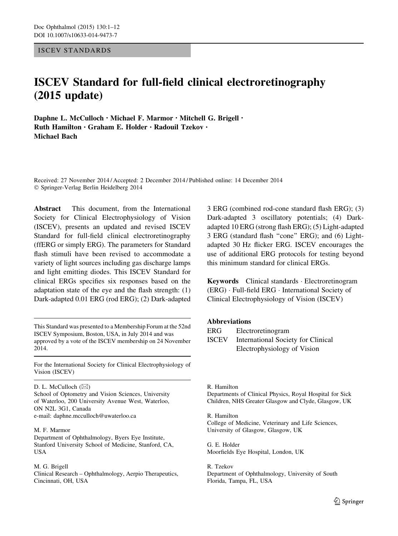ISCEV STANDARDS

# ISCEV Standard for full-field clinical electroretinography (2015 update)

Daphne L. McCulloch • Michael F. Marmor • Mitchell G. Brigell • Ruth Hamilton • Graham E. Holder • Radouil Tzekov • Michael Bach

Received: 27 November 2014 / Accepted: 2 December 2014 / Published online: 14 December 2014 - Springer-Verlag Berlin Heidelberg 2014

Abstract This document, from the International Society for Clinical Electrophysiology of Vision (ISCEV), presents an updated and revised ISCEV Standard for full-field clinical electroretinography (ffERG or simply ERG). The parameters for Standard flash stimuli have been revised to accommodate a variety of light sources including gas discharge lamps and light emitting diodes. This ISCEV Standard for clinical ERGs specifies six responses based on the adaptation state of the eye and the flash strength: (1) Dark-adapted 0.01 ERG (rod ERG); (2) Dark-adapted

This Standard was presented to a Membership Forum at the 52nd ISCEV Symposium, Boston, USA, in July 2014 and was approved by a vote of the ISCEV membership on 24 November 2014.

For the International Society for Clinical Electrophysiology of Vision (ISCEV)

D. L. McCulloch  $(\boxtimes)$ School of Optometry and Vision Sciences, University of Waterloo, 200 University Avenue West, Waterloo, ON N2L 3G1, Canada e-mail: daphne.mcculloch@uwaterloo.ca

#### M. F. Marmor

Department of Ophthalmology, Byers Eye Institute, Stanford University School of Medicine, Stanford, CA, USA

#### M. G. Brigell

Clinical Research – Ophthalmology, Aerpio Therapeutics, Cincinnati, OH, USA

3 ERG (combined rod-cone standard flash ERG); (3) Dark-adapted 3 oscillatory potentials; (4) Darkadapted 10 ERG (strong flash ERG); (5) Light-adapted 3 ERG (standard flash ''cone'' ERG); and (6) Lightadapted 30 Hz flicker ERG. ISCEV encourages the use of additional ERG protocols for testing beyond this minimum standard for clinical ERGs.

Keywords Clinical standards - Electroretinogram (ERG) - Full-field ERG - International Society of Clinical Electrophysiology of Vision (ISCEV)

## Abbreviations

| ERG.         | Electroretinogram                  |
|--------------|------------------------------------|
| <b>ISCEV</b> | International Society for Clinical |
|              | Electrophysiology of Vision        |

# R. Hamilton

Departments of Clinical Physics, Royal Hospital for Sick Children, NHS Greater Glasgow and Clyde, Glasgow, UK

R. Hamilton College of Medicine, Veterinary and Life Sciences, University of Glasgow, Glasgow, UK

G. E. Holder Moorfields Eye Hospital, London, UK

R. Tzekov Department of Ophthalmology, University of South Florida, Tampa, FL, USA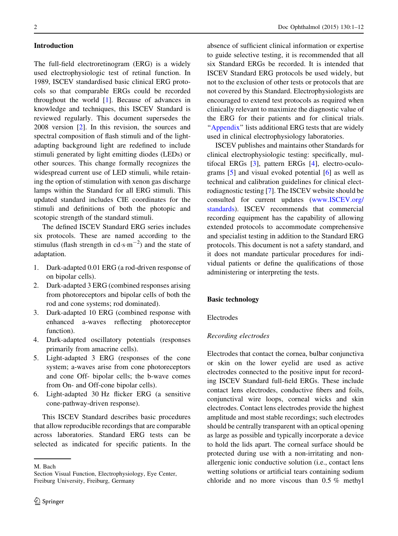# Introduction

The full-field electroretinogram (ERG) is a widely used electrophysiologic test of retinal function. In 1989, ISCEV standardised basic clinical ERG protocols so that comparable ERGs could be recorded throughout the world [[1\]](#page-11-0). Because of advances in knowledge and techniques, this ISCEV Standard is reviewed regularly. This document supersedes the 2008 version [[2\]](#page-11-0). In this revision, the sources and spectral composition of flash stimuli and of the lightadapting background light are redefined to include stimuli generated by light emitting diodes (LEDs) or other sources. This change formally recognizes the widespread current use of LED stimuli, while retaining the option of stimulation with xenon gas discharge lamps within the Standard for all ERG stimuli. This updated standard includes CIE coordinates for the stimuli and definitions of both the photopic and scotopic strength of the standard stimuli.

The defined ISCEV Standard ERG series includes six protocols. These are named according to the stimulus (flash strength in  $cd \cdot s \cdot m^{-2}$ ) and the state of adaptation.

- 1. Dark-adapted 0.01 ERG (a rod-driven response of on bipolar cells).
- 2. Dark-adapted 3 ERG (combined responses arising from photoreceptors and bipolar cells of both the rod and cone systems; rod dominated).
- 3. Dark-adapted 10 ERG (combined response with enhanced a-waves reflecting photoreceptor function).
- 4. Dark-adapted oscillatory potentials (responses primarily from amacrine cells).
- 5. Light-adapted 3 ERG (responses of the cone system; a-waves arise from cone photoreceptors and cone Off- bipolar cells; the b-wave comes from On- and Off-cone bipolar cells).
- 6. Light-adapted 30 Hz flicker ERG (a sensitive cone-pathway-driven response).

This ISCEV Standard describes basic procedures that allow reproducible recordings that are comparable across laboratories. Standard ERG tests can be selected as indicated for specific patients. In the

M. Bach

Section Visual Function, Electrophysiology, Eye Center, Freiburg University, Freiburg, Germany

absence of sufficient clinical information or expertise to guide selective testing, it is recommended that all six Standard ERGs be recorded. It is intended that ISCEV Standard ERG protocols be used widely, but not to the exclusion of other tests or protocols that are not covered by this Standard. Electrophysiologists are encouraged to extend test protocols as required when clinically relevant to maximize the diagnostic value of the ERG for their patients and for clinical trials. "Appendix" lists additional ERG tests that are widely used in clinical electrophysiology laboratories.

ISCEV publishes and maintains other Standards for clinical electrophysiologic testing: specifically, multifocal ERGs [[3\]](#page-11-0), pattern ERGs [\[4](#page-11-0)], electro-oculograms [\[5](#page-11-0)] and visual evoked potential [[6\]](#page-11-0) as well as technical and calibration guidelines for clinical electrodiagnostic testing [\[7](#page-11-0)]. The ISCEV website should be consulted for current updates ([www.ISCEV.org/](http://www.ISCEV.org/standards) [standards\)](http://www.ISCEV.org/standards). ISCEV recommends that commercial recording equipment has the capability of allowing extended protocols to accommodate comprehensive and specialist testing in addition to the Standard ERG protocols. This document is not a safety standard, and it does not mandate particular procedures for individual patients or define the qualifications of those administering or interpreting the tests.

#### Basic technology

# Electrodes

# Recording electrodes

Electrodes that contact the cornea, bulbar conjunctiva or skin on the lower eyelid are used as active electrodes connected to the positive input for recording ISCEV Standard full-field ERGs. These include contact lens electrodes, conductive fibers and foils, conjunctival wire loops, corneal wicks and skin electrodes. Contact lens electrodes provide the highest amplitude and most stable recordings; such electrodes should be centrally transparent with an optical opening as large as possible and typically incorporate a device to hold the lids apart. The corneal surface should be protected during use with a non-irritating and nonallergenic ionic conductive solution (i.e., contact lens wetting solutions or artificial tears containing sodium chloride and no more viscous than 0.5 % methyl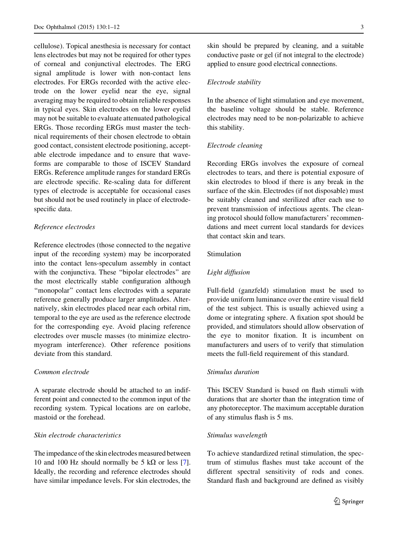cellulose). Topical anesthesia is necessary for contact lens electrodes but may not be required for other types of corneal and conjunctival electrodes. The ERG signal amplitude is lower with non-contact lens electrodes. For ERGs recorded with the active electrode on the lower eyelid near the eye, signal averaging may be required to obtain reliable responses in typical eyes. Skin electrodes on the lower eyelid may not be suitable to evaluate attenuated pathological ERGs. Those recording ERGs must master the technical requirements of their chosen electrode to obtain good contact, consistent electrode positioning, acceptable electrode impedance and to ensure that waveforms are comparable to those of ISCEV Standard ERGs. Reference amplitude ranges for standard ERGs are electrode specific. Re-scaling data for different types of electrode is acceptable for occasional cases but should not be used routinely in place of electrodespecific data.

## Reference electrodes

Reference electrodes (those connected to the negative input of the recording system) may be incorporated into the contact lens-speculum assembly in contact with the conjunctiva. These ''bipolar electrodes'' are the most electrically stable configuration although ''monopolar'' contact lens electrodes with a separate reference generally produce larger amplitudes. Alternatively, skin electrodes placed near each orbital rim, temporal to the eye are used as the reference electrode for the corresponding eye. Avoid placing reference electrodes over muscle masses (to minimize electromyogram interference). Other reference positions deviate from this standard.

## Common electrode

A separate electrode should be attached to an indifferent point and connected to the common input of the recording system. Typical locations are on earlobe, mastoid or the forehead.

## Skin electrode characteristics

The impedance of the skin electrodes measured between 10 and 100 Hz should normally be 5 k $\Omega$  or less [[7](#page-11-0)]. Ideally, the recording and reference electrodes should have similar impedance levels. For skin electrodes, the skin should be prepared by cleaning, and a suitable conductive paste or gel (if not integral to the electrode) applied to ensure good electrical connections.

## Electrode stability

In the absence of light stimulation and eye movement, the baseline voltage should be stable. Reference electrodes may need to be non-polarizable to achieve this stability.

## Electrode cleaning

Recording ERGs involves the exposure of corneal electrodes to tears, and there is potential exposure of skin electrodes to blood if there is any break in the surface of the skin. Electrodes (if not disposable) must be suitably cleaned and sterilized after each use to prevent transmission of infectious agents. The cleaning protocol should follow manufacturers' recommendations and meet current local standards for devices that contact skin and tears.

## Stimulation

## Light diffusion

Full-field (ganzfeld) stimulation must be used to provide uniform luminance over the entire visual field of the test subject. This is usually achieved using a dome or integrating sphere. A fixation spot should be provided, and stimulators should allow observation of the eye to monitor fixation. It is incumbent on manufacturers and users of to verify that stimulation meets the full-field requirement of this standard.

## Stimulus duration

This ISCEV Standard is based on flash stimuli with durations that are shorter than the integration time of any photoreceptor. The maximum acceptable duration of any stimulus flash is 5 ms.

#### Stimulus wavelength

To achieve standardized retinal stimulation, the spectrum of stimulus flashes must take account of the different spectral sensitivity of rods and cones. Standard flash and background are defined as visibly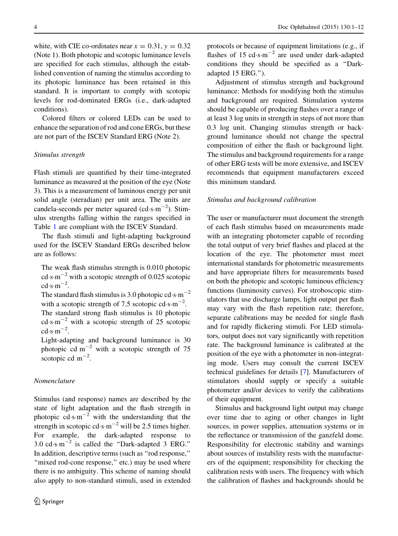white, with CIE co-ordinates near  $x = 0.31$ ,  $y = 0.32$ (Note 1). Both photopic and scotopic luminance levels are specified for each stimulus, although the established convention of naming the stimulus according to its photopic luminance has been retained in this standard. It is important to comply with scotopic levels for rod-dominated ERGs (i.e., dark-adapted conditions).

Colored filters or colored LEDs can be used to enhance the separation of rod and cone ERGs, but these are not part of the ISCEV Standard ERG (Note 2).

## Stimulus strength

Flash stimuli are quantified by their time-integrated luminance as measured at the position of the eye (Note 3). This is a measurement of luminous energy per unit solid angle (steradian) per unit area. The units are candela-seconds per meter squared  $(cd \cdot s \cdot m^{-2})$ . Stimulus strengths falling within the ranges specified in Table [1](#page-4-0) are compliant with the ISCEV Standard.

The flash stimuli and light-adapting background used for the ISCEV Standard ERGs described below are as follows:

The weak flash stimulus strength is 0.010 photopic cd $\cdot$ s $\cdot$ m<sup>-2</sup> with a scotopic strength of 0.025 scotopic  $cd·s·m^{-2}$ .

The standard flash stimulus is 3.0 photopic cd $\cdot$ s $\cdot$ m $^{-2}$ with a scotopic strength of 7.5 scotopic  $cd \cdot s \cdot m^{-2}$ .

The standard strong flash stimulus is 10 photopic cd $\cdot$ s $\cdot$ m<sup>-2</sup> with a scotopic strength of 25 scotopic  $cd·s·m^{-2}$ .

Light-adapting and background luminance is 30 photopic cd  $m^{-2}$  with a scotopic strength of 75 scotopic cd  $m^{-2}$ .

# Nomenclature

Stimulus (and response) names are described by the state of light adaptation and the flash strength in photopic  $cd \cdot s \cdot m^{-2}$  with the understanding that the strength in scotopic cd $\cdot$ s $\cdot$ m $^{-2}$  will be 2.5 times higher. For example, the dark-adapted response to 3.0 cd $\cdot$ s $\cdot$ m $^{-2}$  is called the "Dark-adapted 3 ERG." In addition, descriptive terms (such as ''rod response,'' "mixed rod-cone response," etc.) may be used where there is no ambiguity. This scheme of naming should also apply to non-standard stimuli, used in extended protocols or because of equipment limitations (e.g., if flashes of 15  $cd \cdot s \cdot m^{-2}$  are used under dark-adapted conditions they should be specified as a ''Darkadapted 15 ERG.'').

Adjustment of stimulus strength and background luminance: Methods for modifying both the stimulus and background are required. Stimulation systems should be capable of producing flashes over a range of at least 3 log units in strength in steps of not more than 0.3 log unit. Changing stimulus strength or background luminance should not change the spectral composition of either the flash or background light. The stimulus and background requirements for a range of other ERG tests will be more extensive, and ISCEV recommends that equipment manufacturers exceed this minimum standard.

#### Stimulus and background calibration

The user or manufacturer must document the strength of each flash stimulus based on measurements made with an integrating photometer capable of recording the total output of very brief flashes and placed at the location of the eye. The photometer must meet international standards for photometric measurements and have appropriate filters for measurements based on both the photopic and scotopic luminous efficiency functions (luminosity curves). For stroboscopic stimulators that use discharge lamps, light output per flash may vary with the flash repetition rate; therefore, separate calibrations may be needed for single flash and for rapidly flickering stimuli. For LED stimulators, output does not vary significantly with repetition rate. The background luminance is calibrated at the position of the eye with a photometer in non-integrating mode. Users may consult the current ISCEV technical guidelines for details [\[7](#page-11-0)]. Manufacturers of stimulators should supply or specify a suitable photometer and/or devices to verify the calibrations of their equipment.

Stimulus and background light output may change over time due to aging or other changes in light sources, in power supplies, attenuation systems or in the reflectance or transmission of the ganzfeld dome. Responsibility for electronic stability and warnings about sources of instability rests with the manufacturers of the equipment; responsibility for checking the calibration rests with users. The frequency with which the calibration of flashes and backgrounds should be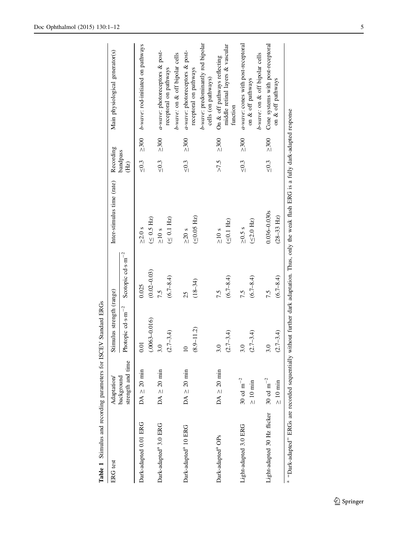<span id="page-4-0"></span>

| Table 1 Stimulus and recording parameters f                                                                                                                |                                 | or ISCEV Standard ERGs        |                               |                            |                          |                                                          |
|------------------------------------------------------------------------------------------------------------------------------------------------------------|---------------------------------|-------------------------------|-------------------------------|----------------------------|--------------------------|----------------------------------------------------------|
| <b>ERG</b> test                                                                                                                                            | Adaptation                      | Stimulus strength (range)     |                               | Inter-stimulus time (rate) | Recording                | Main physiological generator(s)                          |
|                                                                                                                                                            | strength and time<br>background | Photopic cd-s-m <sup>-2</sup> | Scotopic cd·s·m <sup>-2</sup> |                            | bandpass<br>(Hz)         |                                                          |
| Dark-adapted 0.01 ERG                                                                                                                                      | $DA \geq 20$ min                | 0.01                          | 0.025                         | $\geq$ 2.0 s               | $\geq 300$<br>$\leq 0.3$ | b-wave: rod-initiated on pathways                        |
|                                                                                                                                                            |                                 | $(.0063 - 0.016)$             | $(0.02 - 0.03)$               | $(\leq 0.5$ Hz)            |                          |                                                          |
| Dark-adapted <sup>a</sup> 3.0 ERG                                                                                                                          | $DA \geq 20$ min                | 3.0                           | 7.5                           | $\geq 10$ s                | $\geq 300$<br>$\leq 0.3$ | a-wave: photoreceptors & post-                           |
|                                                                                                                                                            |                                 | $(2.7 - 3.4)$                 | $(6.7 - 8.4)$                 | $(\leq 0.1$ Hz)            |                          | receptoral on pathways                                   |
|                                                                                                                                                            |                                 |                               |                               |                            |                          | b-wave: on & off bipolar cells                           |
| Dark-adapted <sup>a</sup> 10 ERG                                                                                                                           | $DA \geq 20$ min                | $\overline{10}$               | 25                            | $\geq 20$ s                | $\geq 300$<br>$\leq 0.3$ | a-wave: photoreceptors & post-                           |
|                                                                                                                                                            |                                 | $(8.9 - 11.2)$                | $(18-34)$                     | (50.05 Hz)                 |                          | receptoral on pathways                                   |
|                                                                                                                                                            |                                 |                               |                               |                            |                          | b-wave: predominantly rod bipolar<br>cells (on pathways) |
| Dark-adapted <sup>a</sup> OPs                                                                                                                              | $DA \geq 20$ min                | 3.0                           | 7.5                           | $\geq 10$ s                | $\geq 300$<br>>7.5       | On & off pathways reflecting                             |
|                                                                                                                                                            |                                 | $(2.7 - 3.4)$                 | $(6.7 - 8.4)$                 | (501 Hz)                   |                          | middle retinal layers & vascular<br>function             |
| Light-adapted 3.0 ERG                                                                                                                                      | $30\rm\,cd\,m^{-2}$             | 3.0                           | 7.5                           | $\leq 0.5$ s               | $\geq 300$<br>$\leq 0.3$ | a-wave: cones with post-receptoral                       |
|                                                                                                                                                            | $\geq 10$ min                   | $(2.7 - 3.4)$                 | $(6.7 - 8.4)$                 | $(\leq 2.0$ Hz)            |                          | on & off pathways                                        |
|                                                                                                                                                            |                                 |                               |                               |                            |                          | b-wave: on & off bipolar cells                           |
| Light-adapted 30 Hz flicker                                                                                                                                | $30$ cd m $^{-2}$               | 3.0                           | 7.5                           | $0.036 - 0.030s$           | $\geq 300$<br>$\leq 0.3$ | Cone systems with post-receptoral                        |
|                                                                                                                                                            | $\geq$ 10 min                   | $(2.7 - 3.4)$                 | $(6.7 - 8.4)$                 | $(28-33 \text{ Hz})$       |                          | on & off pathways                                        |
| <sup>a</sup> "Dark-adapted" ERGs are recorded sequentially without further dark adaptation. Thus, only the weak flash ERG is a fully dark-adapted response |                                 |                               |                               |                            |                          |                                                          |

5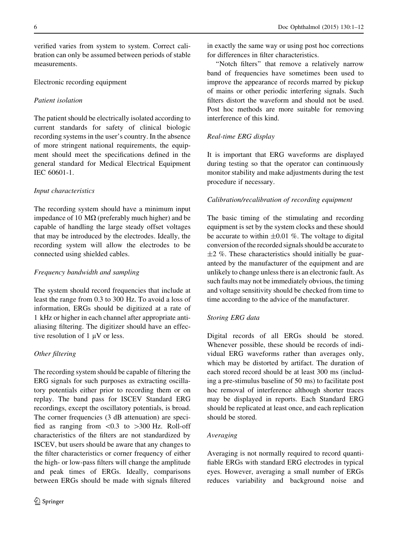verified varies from system to system. Correct calibration can only be assumed between periods of stable measurements.

## Electronic recording equipment

## Patient isolation

The patient should be electrically isolated according to current standards for safety of clinical biologic recording systems in the user's country. In the absence of more stringent national requirements, the equipment should meet the specifications defined in the general standard for Medical Electrical Equipment IEC 60601-1.

## Input characteristics

The recording system should have a minimum input impedance of 10  $M\Omega$  (preferably much higher) and be capable of handling the large steady offset voltages that may be introduced by the electrodes. Ideally, the recording system will allow the electrodes to be connected using shielded cables.

## Frequency bandwidth and sampling

The system should record frequencies that include at least the range from 0.3 to 300 Hz. To avoid a loss of information, ERGs should be digitized at a rate of 1 kHz or higher in each channel after appropriate antialiasing filtering. The digitizer should have an effective resolution of  $1 \mu V$  or less.

# Other filtering

The recording system should be capable of filtering the ERG signals for such purposes as extracting oscillatory potentials either prior to recording them or on replay. The band pass for ISCEV Standard ERG recordings, except the oscillatory potentials, is broad. The corner frequencies (3 dB attenuation) are specified as ranging from  $< 0.3$  to  $> 300$  Hz. Roll-off characteristics of the filters are not standardized by ISCEV, but users should be aware that any changes to the filter characteristics or corner frequency of either the high- or low-pass filters will change the amplitude and peak times of ERGs. Ideally, comparisons between ERGs should be made with signals filtered

in exactly the same way or using post hoc corrections for differences in filter characteristics.

"Notch filters" that remove a relatively narrow band of frequencies have sometimes been used to improve the appearance of records marred by pickup of mains or other periodic interfering signals. Such filters distort the waveform and should not be used. Post hoc methods are more suitable for removing interference of this kind.

## Real-time ERG display

It is important that ERG waveforms are displayed during testing so that the operator can continuously monitor stability and make adjustments during the test procedure if necessary.

#### Calibration/recalibration of recording equipment

The basic timing of the stimulating and recording equipment is set by the system clocks and these should be accurate to within  $\pm 0.01$  %. The voltage to digital conversion of the recorded signals should be accurate to  $\pm 2$  %. These characteristics should initially be guaranteed by the manufacturer of the equipment and are unlikely to change unless there is an electronic fault. As such faults may not be immediately obvious, the timing and voltage sensitivity should be checked from time to time according to the advice of the manufacturer.

#### Storing ERG data

Digital records of all ERGs should be stored. Whenever possible, these should be records of individual ERG waveforms rather than averages only, which may be distorted by artifact. The duration of each stored record should be at least 300 ms (including a pre-stimulus baseline of 50 ms) to facilitate post hoc removal of interference although shorter traces may be displayed in reports. Each Standard ERG should be replicated at least once, and each replication should be stored.

## Averaging

Averaging is not normally required to record quantifiable ERGs with standard ERG electrodes in typical eyes. However, averaging a small number of ERGs reduces variability and background noise and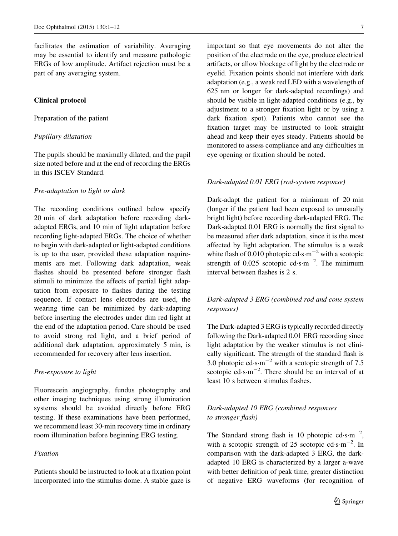facilitates the estimation of variability. Averaging may be essential to identify and measure pathologic ERGs of low amplitude. Artifact rejection must be a part of any averaging system.

# Clinical protocol

Preparation of the patient

#### Pupillary dilatation

The pupils should be maximally dilated, and the pupil size noted before and at the end of recording the ERGs in this ISCEV Standard.

#### Pre-adaptation to light or dark

The recording conditions outlined below specify 20 min of dark adaptation before recording darkadapted ERGs, and 10 min of light adaptation before recording light-adapted ERGs. The choice of whether to begin with dark-adapted or light-adapted conditions is up to the user, provided these adaptation requirements are met. Following dark adaptation, weak flashes should be presented before stronger flash stimuli to minimize the effects of partial light adaptation from exposure to flashes during the testing sequence. If contact lens electrodes are used, the wearing time can be minimized by dark-adapting before inserting the electrodes under dim red light at the end of the adaptation period. Care should be used to avoid strong red light, and a brief period of additional dark adaptation, approximately 5 min, is recommended for recovery after lens insertion.

## Pre-exposure to light

Fluorescein angiography, fundus photography and other imaging techniques using strong illumination systems should be avoided directly before ERG testing. If these examinations have been performed, we recommend least 30-min recovery time in ordinary room illumination before beginning ERG testing.

# Fixation

Patients should be instructed to look at a fixation point incorporated into the stimulus dome. A stable gaze is important so that eye movements do not alter the position of the electrode on the eye, produce electrical artifacts, or allow blockage of light by the electrode or eyelid. Fixation points should not interfere with dark adaptation (e.g., a weak red LED with a wavelength of 625 nm or longer for dark-adapted recordings) and should be visible in light-adapted conditions (e.g., by adjustment to a stronger fixation light or by using a dark fixation spot). Patients who cannot see the fixation target may be instructed to look straight ahead and keep their eyes steady. Patients should be monitored to assess compliance and any difficulties in eye opening or fixation should be noted.

#### Dark-adapted 0.01 ERG (rod-system response)

Dark-adapt the patient for a minimum of 20 min (longer if the patient had been exposed to unusually bright light) before recording dark-adapted ERG. The Dark-adapted 0.01 ERG is normally the first signal to be measured after dark adaptation, since it is the most affected by light adaptation. The stimulus is a weak white flash of 0.010 photopic  $cd \cdot s \cdot m^{-2}$  with a scotopic strength of 0.025 scotopic  $cd \cdot s \cdot m^{-2}$ . The minimum interval between flashes is 2 s.

# Dark-adapted 3 ERG (combined rod and cone system responses)

The Dark-adapted 3 ERG is typically recorded directly following the Dark-adapted 0.01 ERG recording since light adaptation by the weaker stimulus is not clinically significant. The strength of the standard flash is 3.0 photopic cd $\cdot$ s·m<sup>-2</sup> with a scotopic strength of 7.5 scotopic  $cd \cdot s \cdot m^{-2}$ . There should be an interval of at least 10 s between stimulus flashes.

# Dark-adapted 10 ERG (combined responses to stronger flash)

The Standard strong flash is 10 photopic  $cd \cdot s \cdot m^{-2}$ , with a scotopic strength of 25 scotopic  $cd \cdot s \cdot m^{-2}$ . In comparison with the dark-adapted 3 ERG, the darkadapted 10 ERG is characterized by a larger a-wave with better definition of peak time, greater distinction of negative ERG waveforms (for recognition of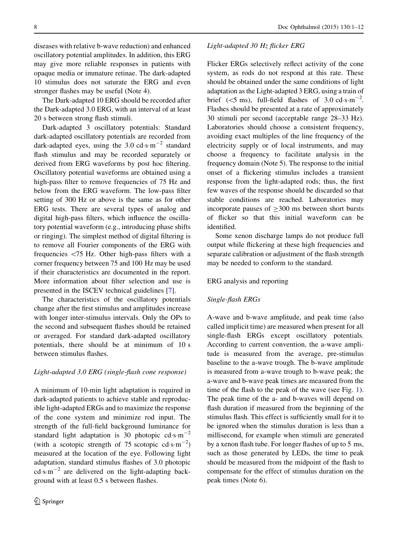diseases with relative b-wave reduction) and enhanced oscillatory potential amplitudes. In addition, this ERG may give more reliable responses in patients with opaque media or immature retinae. The dark-adapted 10 stimulus does not saturate the ERG and even stronger flashes may be useful (Note 4).

The Dark-adapted 10 ERG should be recorded after the Dark-adapted 3.0 ERG, with an interval of at least 20 s between strong flash stimuli.

Dark-adapted 3 oscillatory potentials: Standard dark-adapted oscillatory potentials are recorded from dark-adapted eyes, using the  $3.0 \text{ cd} \cdot \text{s} \cdot \text{m}^{-2}$  standard flash stimulus and may be recorded separately or derived from ERG waveforms by post hoc filtering. Oscillatory potential waveforms are obtained using a high-pass filter to remove frequencies of 75 Hz and below from the ERG waveform. The low-pass filter setting of 300 Hz or above is the same as for other ERG tests. There are several types of analog and digital high-pass filters, which influence the oscillatory potential waveform (e.g., introducing phase shifts or ringing). The simplest method of digital filtering is to remove all Fourier components of the ERG with frequencies \75 Hz. Other high-pass filters with a corner frequency between 75 and 100 Hz may be used if their characteristics are documented in the report. More information about filter selection and use is presented in the ISCEV technical guidelines [[7\]](#page-11-0).

The characteristics of the oscillatory potentials change after the first stimulus and amplitudes increase with longer inter-stimulus intervals. Only the OPs to the second and subsequent flashes should be retained or averaged. For standard dark-adapted oscillatory potentials, there should be at minimum of 10 s between stimulus flashes.

## Light-adapted 3.0 ERG (single-flash cone response)

A minimum of 10-min light adaptation is required in dark-adapted patients to achieve stable and reproducible light-adapted ERGs and to maximize the response of the cone system and minimize rod input. The strength of the full-field background luminance for standard light adaptation is 30 photopic  $cd \cdot s \cdot m^{-2}$ (with a scotopic strength of 75 scotopic  $cd \cdot s \cdot m^{-2}$ ) measured at the location of the eye. Following light adaptation, standard stimulus flashes of 3.0 photopic  $cd \cdot s \cdot m^{-2}$  are delivered on the light-adapting background with at least 0.5 s between flashes.

#### 8 Doc Ophthalmol (2015) 130:1–12

## Light-adapted 30 Hz flicker ERG

Flicker ERGs selectively reflect activity of the cone system, as rods do not respond at this rate. These should be obtained under the same conditions of light adaptation as the Light-adapted 3 ERG, using a train of brief ( $\leq$ 5 ms), full-field flashes of 3.0 cd·s·m<sup>-2</sup>. Flashes should be presented at a rate of approximately 30 stimuli per second (acceptable range 28–33 Hz). Laboratories should choose a consistent frequency, avoiding exact multiples of the line frequency of the electricity supply or of local instruments, and may choose a frequency to facilitate analysis in the frequency domain (Note 5). The response to the initial onset of a flickering stimulus includes a transient response from the light-adapted rods; thus, the first few waves of the response should be discarded so that stable conditions are reached. Laboratories may incorporate pauses of  $>300$  ms between short bursts of flicker so that this initial waveform can be identified.

Some xenon discharge lamps do not produce full output while flickering at these high frequencies and separate calibration or adjustment of the flash strength may be needed to conform to the standard.

#### ERG analysis and reporting

#### Single-flash ERGs

A-wave and b-wave amplitude, and peak time (also called implicit time) are measured when present for all single-flash ERGs except oscillatory potentials. According to current convention, the a-wave amplitude is measured from the average, pre-stimulus baseline to the a-wave trough. The b-wave amplitude is measured from a-wave trough to b-wave peak; the a-wave and b-wave peak times are measured from the time of the flash to the peak of the wave (see Fig. [1](#page-8-0)). The peak time of the a- and b-waves will depend on flash duration if measured from the beginning of the stimulus flash. This effect is sufficiently small for it to be ignored when the stimulus duration is less than a millisecond, for example when stimuli are generated by a xenon flash tube. For longer flashes of up to 5 ms, such as those generated by LEDs, the time to peak should be measured from the midpoint of the flash to compensate for the effect of stimulus duration on the peak times (Note 6).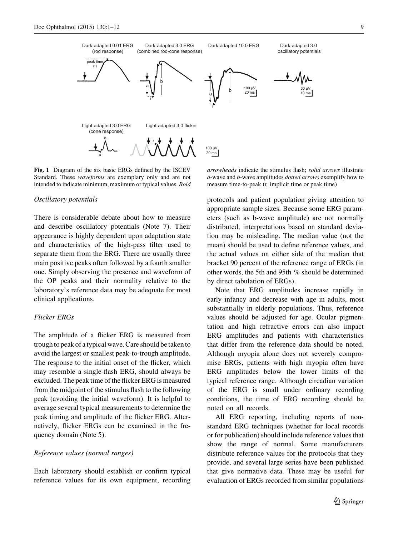<span id="page-8-0"></span>

Fig. 1 Diagram of the six basic ERGs defined by the ISCEV Standard. These waveforms are exemplary only and are not intended to indicate minimum, maximum or typical values. Bold

#### Oscillatory potentials

There is considerable debate about how to measure and describe oscillatory potentials (Note 7). Their appearance is highly dependent upon adaptation state and characteristics of the high-pass filter used to separate them from the ERG. There are usually three main positive peaks often followed by a fourth smaller one. Simply observing the presence and waveform of the OP peaks and their normality relative to the laboratory's reference data may be adequate for most clinical applications.

# Flicker ERGs

The amplitude of a flicker ERG is measured from trough to peak of a typical wave. Care should be taken to avoid the largest or smallest peak-to-trough amplitude. The response to the initial onset of the flicker, which may resemble a single-flash ERG, should always be excluded. The peak time of the flicker ERG is measured from the midpoint of the stimulus flash to the following peak (avoiding the initial waveform). It is helpful to average several typical measurements to determine the peak timing and amplitude of the flicker ERG. Alternatively, flicker ERGs can be examined in the frequency domain (Note 5).

## Reference values (normal ranges)

Each laboratory should establish or confirm typical reference values for its own equipment, recording

arrowheads indicate the stimulus flash; solid arrows illustrate a-wave and b-wave amplitudes dotted arrows exemplify how to measure time-to-peak  $(t,$  implicit time or peak time)

protocols and patient population giving attention to appropriate sample sizes. Because some ERG parameters (such as b-wave amplitude) are not normally distributed, interpretations based on standard deviation may be misleading. The median value (not the mean) should be used to define reference values, and the actual values on either side of the median that bracket 90 percent of the reference range of ERGs (in other words, the 5th and 95th % should be determined by direct tabulation of ERGs).

Note that ERG amplitudes increase rapidly in early infancy and decrease with age in adults, most substantially in elderly populations. Thus, reference values should be adjusted for age. Ocular pigmentation and high refractive errors can also impact ERG amplitudes and patients with characteristics that differ from the reference data should be noted. Although myopia alone does not severely compromise ERGs, patients with high myopia often have ERG amplitudes below the lower limits of the typical reference range. Although circadian variation of the ERG is small under ordinary recording conditions, the time of ERG recording should be noted on all records.

All ERG reporting, including reports of nonstandard ERG techniques (whether for local records or for publication) should include reference values that show the range of normal. Some manufacturers distribute reference values for the protocols that they provide, and several large series have been published that give normative data. These may be useful for evaluation of ERGs recorded from similar populations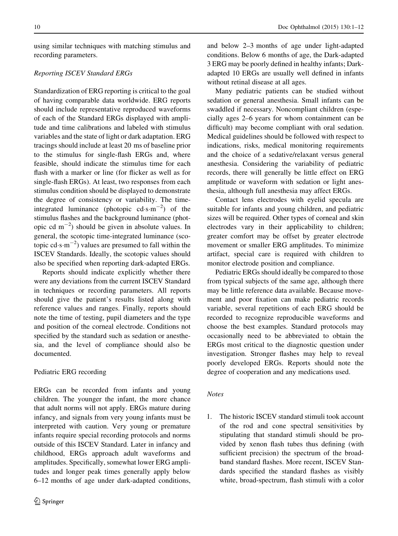using similar techniques with matching stimulus and recording parameters.

## Reporting ISCEV Standard ERGs

Standardization of ERG reporting is critical to the goal of having comparable data worldwide. ERG reports should include representative reproduced waveforms of each of the Standard ERGs displayed with amplitude and time calibrations and labeled with stimulus variables and the state of light or dark adaptation. ERG tracings should include at least 20 ms of baseline prior to the stimulus for single-flash ERGs and, where feasible, should indicate the stimulus time for each flash with a marker or line (for flicker as well as for single-flash ERGs). At least, two responses from each stimulus condition should be displayed to demonstrate the degree of consistency or variability. The timeintegrated luminance (photopic  $cd \cdot s \cdot m^{-2}$ ) of the stimulus flashes and the background luminance (photopic cd  $m^{-2}$ ) should be given in absolute values. In general, the scotopic time-integrated luminance (scotopic  $cd \cdot s \cdot m^{-2}$ ) values are presumed to fall within the ISCEV Standards. Ideally, the scotopic values should also be specified when reporting dark-adapted ERGs.

Reports should indicate explicitly whether there were any deviations from the current ISCEV Standard in techniques or recording parameters. All reports should give the patient's results listed along with reference values and ranges. Finally, reports should note the time of testing, pupil diameters and the type and position of the corneal electrode. Conditions not specified by the standard such as sedation or anesthesia, and the level of compliance should also be documented.

# Pediatric ERG recording

ERGs can be recorded from infants and young children. The younger the infant, the more chance that adult norms will not apply. ERGs mature during infancy, and signals from very young infants must be interpreted with caution. Very young or premature infants require special recording protocols and norms outside of this ISCEV Standard. Later in infancy and childhood, ERGs approach adult waveforms and amplitudes. Specifically, somewhat lower ERG amplitudes and longer peak times generally apply below 6–12 months of age under dark-adapted conditions, and below 2–3 months of age under light-adapted conditions. Below 6 months of age, the Dark-adapted 3 ERG may be poorly defined in healthy infants; Darkadapted 10 ERGs are usually well defined in infants without retinal disease at all ages.

Many pediatric patients can be studied without sedation or general anesthesia. Small infants can be swaddled if necessary. Noncompliant children (especially ages 2–6 years for whom containment can be difficult) may become compliant with oral sedation. Medical guidelines should be followed with respect to indications, risks, medical monitoring requirements and the choice of a sedative/relaxant versus general anesthesia. Considering the variability of pediatric records, there will generally be little effect on ERG amplitude or waveform with sedation or light anesthesia, although full anesthesia may affect ERGs.

Contact lens electrodes with eyelid specula are suitable for infants and young children, and pediatric sizes will be required. Other types of corneal and skin electrodes vary in their applicability to children; greater comfort may be offset by greater electrode movement or smaller ERG amplitudes. To minimize artifact, special care is required with children to monitor electrode position and compliance.

Pediatric ERGs should ideally be compared to those from typical subjects of the same age, although there may be little reference data available. Because movement and poor fixation can make pediatric records variable, several repetitions of each ERG should be recorded to recognize reproducible waveforms and choose the best examples. Standard protocols may occasionally need to be abbreviated to obtain the ERGs most critical to the diagnostic question under investigation. Stronger flashes may help to reveal poorly developed ERGs. Reports should note the degree of cooperation and any medications used.

# Notes

1. The historic ISCEV standard stimuli took account of the rod and cone spectral sensitivities by stipulating that standard stimuli should be provided by xenon flash tubes thus defining (with sufficient precision) the spectrum of the broadband standard flashes. More recent, ISCEV Standards specified the standard flashes as visibly white, broad-spectrum, flash stimuli with a color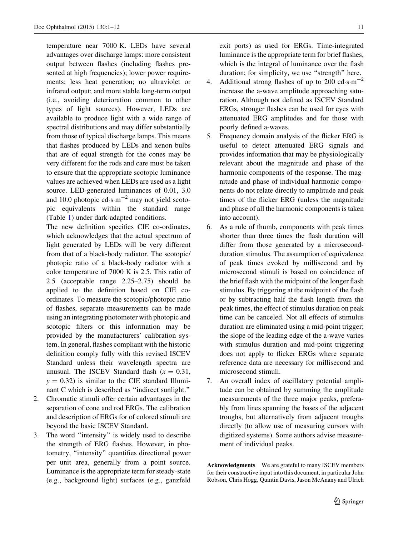temperature near 7000 K. LEDs have several advantages over discharge lamps: more consistent output between flashes (including flashes presented at high frequencies); lower power requirements; less heat generation; no ultraviolet or infrared output; and more stable long-term output (i.e., avoiding deterioration common to other types of light sources). However, LEDs are available to produce light with a wide range of spectral distributions and may differ substantially from those of typical discharge lamps. This means that flashes produced by LEDs and xenon bulbs that are of equal strength for the cones may be very different for the rods and care must be taken to ensure that the appropriate scotopic luminance values are achieved when LEDs are used as a light source. LED-generated luminances of 0.01, 3.0 and 10.0 photopic  $cd \cdot s \cdot m^{-2}$  may not yield scotopic equivalents within the standard range (Table [1](#page-4-0)) under dark-adapted conditions.

The new definition specifies CIE co-ordinates, which acknowledges that the actual spectrum of light generated by LEDs will be very different from that of a black-body radiator. The scotopic/ photopic ratio of a black-body radiator with a color temperature of 7000 K is 2.5. This ratio of 2.5 (acceptable range 2.25–2.75) should be applied to the definition based on CIE coordinates. To measure the scotopic/photopic ratio of flashes, separate measurements can be made using an integrating photometer with photopic and scotopic filters or this information may be provided by the manufacturers' calibration system. In general, flashes compliant with the historic definition comply fully with this revised ISCEV Standard unless their wavelength spectra are unusual. The ISCEV Standard flash  $(x = 0.31,$  $y = 0.32$ ) is similar to the CIE standard Illuminant C which is described as ''indirect sunlight.''

- 2. Chromatic stimuli offer certain advantages in the separation of cone and rod ERGs. The calibration and description of ERGs for of colored stimuli are beyond the basic ISCEV Standard.
- 3. The word ''intensity'' is widely used to describe the strength of ERG flashes. However, in photometry, ''intensity'' quantifies directional power per unit area, generally from a point source. Luminance is the appropriate term for steady-state (e.g., background light) surfaces (e.g., ganzfeld

exit ports) as used for ERGs. Time-integrated luminance is the appropriate term for brief flashes, which is the integral of luminance over the flash duration; for simplicity, we use "strength" here.

- 4. Additional strong flashes of up to 200  $\text{cd} \cdot \text{s} \cdot \text{m}^{-2}$ increase the a-wave amplitude approaching saturation. Although not defined as ISCEV Standard ERGs, stronger flashes can be used for eyes with attenuated ERG amplitudes and for those with poorly defined a-waves.
- 5. Frequency domain analysis of the flicker ERG is useful to detect attenuated ERG signals and provides information that may be physiologically relevant about the magnitude and phase of the harmonic components of the response. The magnitude and phase of individual harmonic components do not relate directly to amplitude and peak times of the flicker ERG (unless the magnitude and phase of all the harmonic components is taken into account).
- 6. As a rule of thumb, components with peak times shorter than three times the flash duration will differ from those generated by a microsecondduration stimulus. The assumption of equivalence of peak times evoked by millisecond and by microsecond stimuli is based on coincidence of the brief flash with the midpoint of the longer flash stimulus. By triggering at the midpoint of the flash or by subtracting half the flash length from the peak times, the effect of stimulus duration on peak time can be canceled. Not all effects of stimulus duration are eliminated using a mid-point trigger; the slope of the leading edge of the a-wave varies with stimulus duration and mid-point triggering does not apply to flicker ERGs where separate reference data are necessary for millisecond and microsecond stimuli.
- 7. An overall index of oscillatory potential amplitude can be obtained by summing the amplitude measurements of the three major peaks, preferably from lines spanning the bases of the adjacent troughs, but alternatively from adjacent troughs directly (to allow use of measuring cursors with digitized systems). Some authors advise measurement of individual peaks.

Acknowledgments We are grateful to many ISCEV members for their constructive input into this document, in particular John Robson, Chris Hogg, Quintin Davis, Jason McAnany and Ulrich